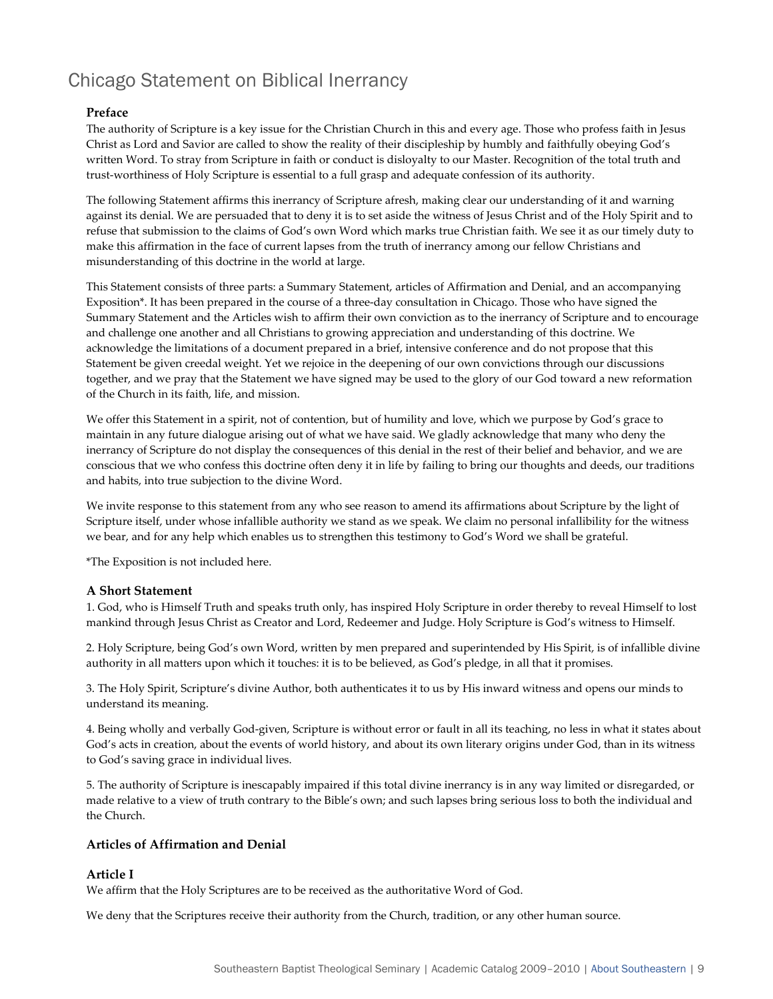# Chicago Statement on Biblical Inerrancy

# **Preface**

The authority of Scripture is a key issue for the Christian Church in this and every age. Those who profess faith in Jesus Christ as Lord and Savior are called to show the reality of their discipleship by humbly and faithfully obeying God's written Word. To stray from Scripture in faith or conduct is disloyalty to our Master. Recognition of the total truth and trust‐worthiness of Holy Scripture is essential to a full grasp and adequate confession of its authority.

The following Statement affirms this inerrancy of Scripture afresh, making clear our understanding of it and warning against its denial. We are persuaded that to deny it is to set aside the witness of Jesus Christ and of the Holy Spirit and to refuse that submission to the claims of God's own Word which marks true Christian faith. We see it as our timely duty to make this affirmation in the face of current lapses from the truth of inerrancy among our fellow Christians and misunderstanding of this doctrine in the world at large.

This Statement consists of three parts: a Summary Statement, articles of Affirmation and Denial, and an accompanying Exposition\*. It has been prepared in the course of a three-day consultation in Chicago. Those who have signed the Summary Statement and the Articles wish to affirm their own conviction as to the inerrancy of Scripture and to encourage and challenge one another and all Christians to growing appreciation and understanding of this doctrine. We acknowledge the limitations of a document prepared in a brief, intensive conference and do not propose that this Statement be given creedal weight. Yet we rejoice in the deepening of our own convictions through our discussions together, and we pray that the Statement we have signed may be used to the glory of our God toward a new reformation of the Church in its faith, life, and mission.

We offer this Statement in a spirit, not of contention, but of humility and love, which we purpose by God's grace to maintain in any future dialogue arising out of what we have said. We gladly acknowledge that many who deny the inerrancy of Scripture do not display the consequences of this denial in the rest of their belief and behavior, and we are conscious that we who confess this doctrine often deny it in life by failing to bring our thoughts and deeds, our traditions and habits, into true subjection to the divine Word.

We invite response to this statement from any who see reason to amend its affirmations about Scripture by the light of Scripture itself, under whose infallible authority we stand as we speak. We claim no personal infallibility for the witness we bear, and for any help which enables us to strengthen this testimony to God's Word we shall be grateful.

\*The Exposition is not included here.

# **A Short Statement**

1. God, who is Himself Truth and speaks truth only, has inspired Holy Scripture in order thereby to reveal Himself to lost mankind through Jesus Christ as Creator and Lord, Redeemer and Judge. Holy Scripture is God's witness to Himself.

2. Holy Scripture, being God's own Word, written by men prepared and superintended by His Spirit, is of infallible divine authority in all matters upon which it touches: it is to be believed, as God's pledge, in all that it promises.

3. The Holy Spirit, Scripture's divine Author, both authenticates it to us by His inward witness and opens our minds to understand its meaning.

4. Being wholly and verbally God‐given, Scripture is without error or fault in all its teaching, no less in what it states about God's acts in creation, about the events of world history, and about its own literary origins under God, than in its witness to God's saving grace in individual lives.

5. The authority of Scripture is inescapably impaired if this total divine inerrancy is in any way limited or disregarded, or made relative to a view of truth contrary to the Bible's own; and such lapses bring serious loss to both the individual and the Church.

# **Articles of Affirmation and Denial**

# **Article I**

We affirm that the Holy Scriptures are to be received as the authoritative Word of God.

We deny that the Scriptures receive their authority from the Church, tradition, or any other human source.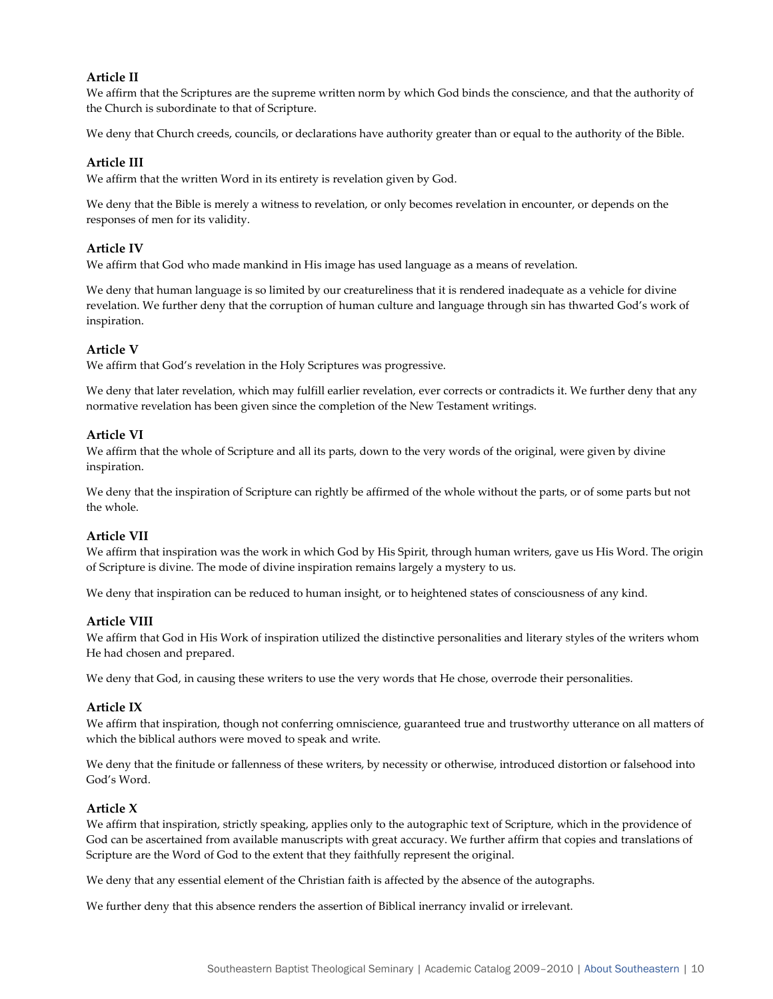# **Article II**

We affirm that the Scriptures are the supreme written norm by which God binds the conscience, and that the authority of the Church is subordinate to that of Scripture.

We deny that Church creeds, councils, or declarations have authority greater than or equal to the authority of the Bible.

## **Article III**

We affirm that the written Word in its entirety is revelation given by God.

We deny that the Bible is merely a witness to revelation, or only becomes revelation in encounter, or depends on the responses of men for its validity.

## **Article IV**

We affirm that God who made mankind in His image has used language as a means of revelation.

We deny that human language is so limited by our creatureliness that it is rendered inadequate as a vehicle for divine revelation. We further deny that the corruption of human culture and language through sin has thwarted God's work of inspiration.

## **Article V**

We affirm that God's revelation in the Holy Scriptures was progressive.

We deny that later revelation, which may fulfill earlier revelation, ever corrects or contradicts it. We further deny that any normative revelation has been given since the completion of the New Testament writings.

## **Article VI**

We affirm that the whole of Scripture and all its parts, down to the very words of the original, were given by divine inspiration.

We deny that the inspiration of Scripture can rightly be affirmed of the whole without the parts, or of some parts but not the whole.

# **Article VII**

We affirm that inspiration was the work in which God by His Spirit, through human writers, gave us His Word. The origin of Scripture is divine. The mode of divine inspiration remains largely a mystery to us.

We deny that inspiration can be reduced to human insight, or to heightened states of consciousness of any kind.

#### **Article VIII**

We affirm that God in His Work of inspiration utilized the distinctive personalities and literary styles of the writers whom He had chosen and prepared.

We deny that God, in causing these writers to use the very words that He chose, overrode their personalities.

#### **Article IX**

We affirm that inspiration, though not conferring omniscience, guaranteed true and trustworthy utterance on all matters of which the biblical authors were moved to speak and write.

We deny that the finitude or fallenness of these writers, by necessity or otherwise, introduced distortion or falsehood into God's Word.

# **Article X**

We affirm that inspiration, strictly speaking, applies only to the autographic text of Scripture, which in the providence of God can be ascertained from available manuscripts with great accuracy. We further affirm that copies and translations of Scripture are the Word of God to the extent that they faithfully represent the original.

We deny that any essential element of the Christian faith is affected by the absence of the autographs.

We further deny that this absence renders the assertion of Biblical inerrancy invalid or irrelevant.